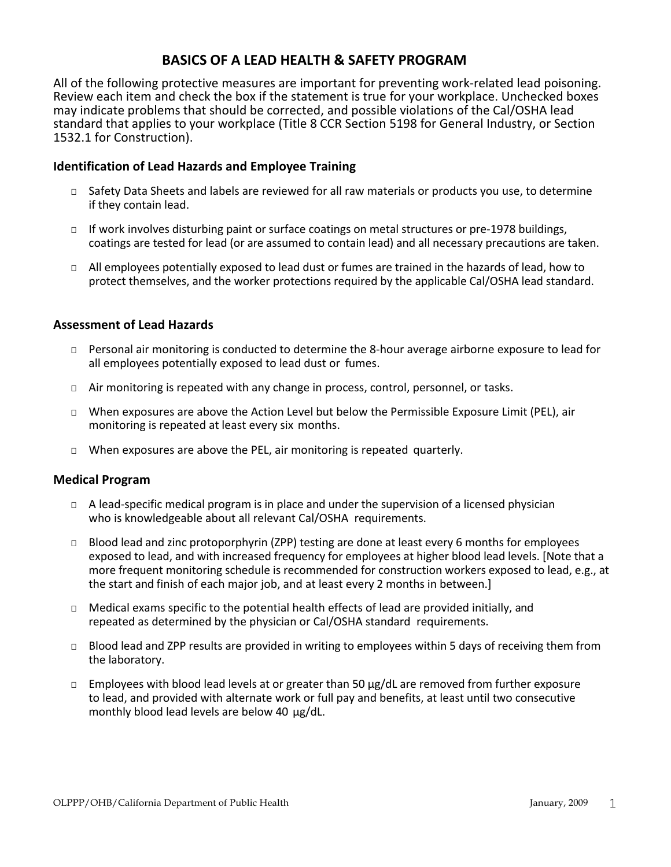# **BASICS OF A LEAD HEALTH & SAFETY PROGRAM**

 All of the following protective measures are important for preventing work-related lead poisoning. Review each item and check the box if the statement is true for your workplace. Unchecked boxes may indicate problems that should be corrected, and possible violations of the Cal/OSHA lead standard that applies to your workplace (Title 8 CCR Section 5198 for General Industry, or Section 1532.1 for Construction).

## **Identification of Lead Hazards and Employee Training**

- □ Safety Data Sheets and labels are reviewed for all raw materials or products you use, to determine if they contain lead.
- □ If work involves disturbing paint or surface coatings on metal structures or pre-1978 buildings, coatings are tested for lead (or are assumed to contain lead) and all necessary precautions are taken.
- □ All employees potentially exposed to lead dust or fumes are trained in the hazards of lead, how to protect themselves, and the worker protections required by the applicable Cal/OSHA lead standard.

## **Assessment of Lead Hazards**

- all employees potentially exposed to lead dust or fumes. □ Personal air monitoring is conducted to determine the 8-hour average airborne exposure to lead for
- □ Air monitoring is repeated with any change in process, control, personnel, or tasks.
- monitoring is repeated at least every six months. □ When exposures are above the Action Level but below the Permissible Exposure Limit (PEL), air
- □ When exposures are above the PEL, air monitoring is repeated quarterly.

### **Medical Program**

- $\Box$  A lead-specific medical program is in place and under the supervision of a licensed physician who is knowledgeable about all relevant Cal/OSHA requirements.
- more frequent monitoring schedule is recommended for construction workers exposed to lead, e.g., at the start and finish of each major job, and at least every 2 months in between.] □ Blood lead and zinc protoporphyrin (ZPP) testing are done at least every 6 months for employees exposed to lead, and with increased frequency for employees at higher blood lead levels. [Note that a
- □ Medical exams specific to the potential health effects of lead are provided initially, and repeated as determined by the physician or Cal/OSHA standard requirements.
- the laboratory. □ Blood lead and ZPP results are provided in writing to employees within 5 days of receiving them from
- to lead, and provided with alternate work or full pay and benefits, at least until two consecutive monthly blood lead levels are below 40 µg/dL.  $\Box$  Employees with blood lead levels at or greater than 50  $\mu$ g/dL are removed from further exposure